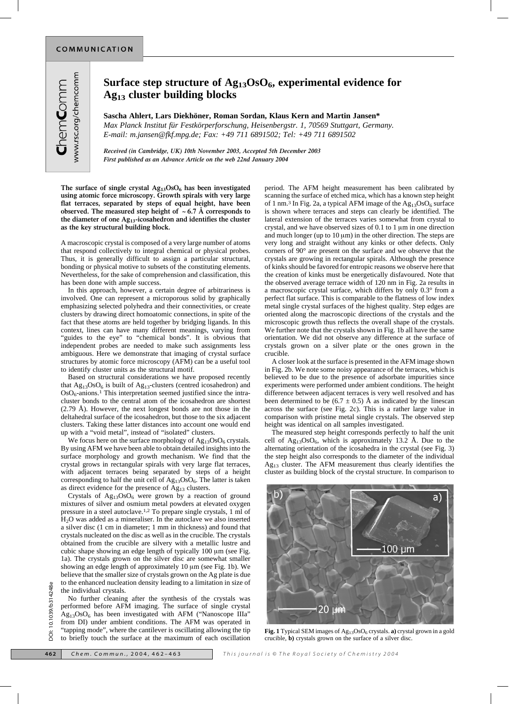www.rsc.org/chemcomm ChemComm

**Sascha Ahlert, Lars Diekhöner, Roman Sordan, Klaus Kern and Martin Jansen\*** *Max Planck Institut für Festkörperforschung, Heisenbergstr. 1, 70569 Stuttgart, Germany. E-mail: m.jansen@fkf.mpg.de; Fax: +49 711 6891502; Tel: +49 711 6891502*

*Received (in Cambridge, UK) 10th November 2003, Accepted 5th December 2003 First published as an Advance Article on the web 22nd January 2004*

**The surface of single crystal Ag13OsO6 has been investigated using atomic force microscopy. Growth spirals with very large flat terraces, separated by steps of equal height, have been** observed. The measured step height of  $\sim 6.7 \text{ Å}$  corresponds to **the diameter of one Ag13-icosahedron and identifies the cluster as the key structural building block.**

A macroscopic crystal is composed of a very large number of atoms that respond collectively to integral chemical or physical probes. Thus, it is generally difficult to assign a particular structural, bonding or physical motive to subsets of the constituting elements. Nevertheless, for the sake of comprehension and classification, this has been done with ample success.

In this approach, however, a certain degree of arbitrariness is involved. One can represent a microporous solid by graphically emphasizing selected polyhedra and their connectivities, or create clusters by drawing direct homoatomic connections, in spite of the fact that these atoms are held together by bridging ligands. In this context, lines can have many different meanings, varying from "guides to the eye" to "chemical bonds". It is obvious that independent probes are needed to make such assignments less ambiguous. Here we demonstrate that imaging of crystal surface structures by atomic force microscopy (AFM) can be a useful tool to identify cluster units as the structural motif.

Based on structural considerations we have proposed recently that  $Ag_{13}OsO_6$  is built of  $Ag_{13}$ -clusters (centred icosahedron) and  $OsO<sub>6</sub>$ -anions.<sup>1</sup> This interpretation seemed justified since the intracluster bonds to the central atom of the icosahedron are shortest (2.79 Å). However, the next longest bonds are not those in the deltahedral surface of the icosahedron, but those to the six adjacent clusters. Taking these latter distances into account one would end up with a "void metal", instead of "isolated" clusters.

We focus here on the surface morphology of  $Ag_{13}OsO_6$  crystals. By using AFM we have been able to obtain detailed insights into the surface morphology and growth mechanism. We find that the crystal grows in rectangular spirals with very large flat terraces, with adjacent terraces being separated by steps of a height corresponding to half the unit cell of  $Ag_{13}OsO_6$ . The latter is taken as direct evidence for the presence of  $Ag_{13}$  clusters.

Crystals of  $Ag_{13}OsO_6$  were grown by a reaction of ground mixtures of silver and osmium metal powders at elevated oxygen pressure in a steel autoclave.1,2 To prepare single crystals, 1 ml of H2O was added as a mineraliser. In the autoclave we also inserted a silver disc (1 cm in diameter; 1 mm in thickness) and found that crystals nucleated on the disc as well as in the crucible. The crystals obtained from the crucible are silvery with a metallic lustre and cubic shape showing an edge length of typically  $100 \mu m$  (see Fig. 1a). The crystals grown on the silver disc are somewhat smaller showing an edge length of approximately 10  $\mu$ m (see Fig. 1b). We believe that the smaller size of crystals grown on the Ag plate is due to the enhanced nucleation density leading to a limitation in size of the individual crystals.

No further cleaning after the synthesis of the crystals was performed before AFM imaging. The surface of single crystal  $Ag<sub>13</sub>OsO<sub>6</sub>$  has been investigated with AFM ("Nanoscope IIIa" from DI) under ambient conditions. The AFM was operated in "tapping mode", where the cantilever is oscillating allowing the tip to briefly touch the surface at the maximum of each oscillation period. The AFM height measurement has been calibrated by scanning the surface of etched mica, which has a known step height of 1 nm.<sup>3</sup> In Fig. 2a, a typical AFM image of the Ag<sub>13</sub>OsO<sub>6</sub> surface is shown where terraces and steps can clearly be identified. The lateral extension of the terraces varies somewhat from crystal to crystal, and we have observed sizes of  $0.1$  to  $1 \mu m$  in one direction and much longer (up to  $10 \mu m$ ) in the other direction. The steps are very long and straight without any kinks or other defects. Only corners of 90° are present on the surface and we observe that the crystals are growing in rectangular spirals. Although the presence of kinks should be favored for entropic reasons we observe here that the creation of kinks must be energetically disfavoured. Note that the observed average terrace width of 120 nm in Fig. 2a results in a macroscopic crystal surface, which differs by only 0.3° from a perfect flat surface. This is comparable to the flatness of low index metal single crystal surfaces of the highest quality. Step edges are oriented along the macroscopic directions of the crystals and the microscopic growth thus reflects the overall shape of the crystals. We further note that the crystals shown in Fig. 1b all have the same orientation. We did not observe any difference at the surface of crystals grown on a silver plate or the ones grown in the crucible.

A closer look at the surface is presented in the AFM image shown in Fig. 2b. We note some noisy appearance of the terraces, which is believed to be due to the presence of adsorbate impurities since experiments were performed under ambient conditions. The height difference between adjacent terraces is very well resolved and has been determined to be  $(6.7 \pm 0.5)$  Å as indicated by the linescan across the surface (see Fig. 2c). This is a rather large value in comparison with pristine metal single crystals. The observed step height was identical on all samples investigated.

The measured step height corresponds perfectly to half the unit cell of  $Ag_{13}OsO_6$ , which is approximately 13.2 Å. Due to the alternating orientation of the icosahedra in the crystal (see Fig. 3) the step height also corresponds to the diameter of the individual  $Ag_{13}$  cluster. The AFM measurement thus clearly identifies the cluster as building block of the crystal structure. In comparison to



Fig. 1 Typical SEM images of Ag<sub>13</sub>OsO<sub>6</sub> crystals. **a**) crystal grown in a gold crucible, **b)** crystals grown on the surface of a silver disc.